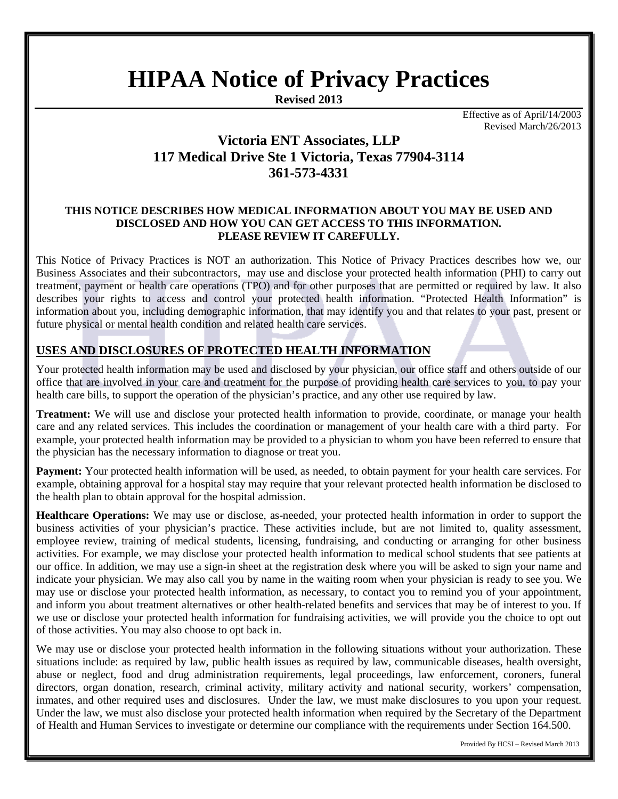# **HIPAA Notice of Privacy Practices**

**Revised 2013**

Effective as of April/14/2003 Revised March/26/2013

## **Victoria ENT Associates, LLP 117 Medical Drive Ste 1 Victoria, Texas 77904-3114 361-573-4331**

#### **THIS NOTICE DESCRIBES HOW MEDICAL INFORMATION ABOUT YOU MAY BE USED AND DISCLOSED AND HOW YOU CAN GET ACCESS TO THIS INFORMATION. PLEASE REVIEW IT CAREFULLY.**

This Notice of Privacy Practices is NOT an authorization. This Notice of Privacy Practices describes how we, our Business Associates and their subcontractors, may use and disclose your protected health information (PHI) to carry out treatment, payment or health care operations (TPO) and for other purposes that are permitted or required by law. It also describes your rights to access and control your protected health information. "Protected Health Information" is information about you, including demographic information, that may identify you and that relates to your past, present or future physical or mental health condition and related health care services.

## **USES AND DISCLOSURES OF PROTECTED HEALTH INFORMATION**

Your protected health information may be used and disclosed by your physician, our office staff and others outside of our office that are involved in your care and treatment for the purpose of providing health care services to you, to pay your health care bills, to support the operation of the physician's practice, and any other use required by law.

**Treatment:** We will use and disclose your protected health information to provide, coordinate, or manage your health care and any related services. This includes the coordination or management of your health care with a third party. For example, your protected health information may be provided to a physician to whom you have been referred to ensure that the physician has the necessary information to diagnose or treat you.

**Payment:** Your protected health information will be used, as needed, to obtain payment for your health care services. For example, obtaining approval for a hospital stay may require that your relevant protected health information be disclosed to the health plan to obtain approval for the hospital admission.

**Healthcare Operations:** We may use or disclose, as-needed, your protected health information in order to support the business activities of your physician's practice. These activities include, but are not limited to, quality assessment, employee review, training of medical students, licensing, fundraising, and conducting or arranging for other business activities. For example, we may disclose your protected health information to medical school students that see patients at our office. In addition, we may use a sign-in sheet at the registration desk where you will be asked to sign your name and indicate your physician. We may also call you by name in the waiting room when your physician is ready to see you. We may use or disclose your protected health information, as necessary, to contact you to remind you of your appointment, and inform you about treatment alternatives or other health-related benefits and services that may be of interest to you. If we use or disclose your protected health information for fundraising activities, we will provide you the choice to opt out of those activities. You may also choose to opt back in.

We may use or disclose your protected health information in the following situations without your authorization. These situations include: as required by law, public health issues as required by law, communicable diseases, health oversight, abuse or neglect, food and drug administration requirements, legal proceedings, law enforcement, coroners, funeral directors, organ donation, research, criminal activity, military activity and national security, workers' compensation, inmates, and other required uses and disclosures. Under the law, we must make disclosures to you upon your request. Under the law, we must also disclose your protected health information when required by the Secretary of the Department of Health and Human Services to investigate or determine our compliance with the requirements under Section 164.500.